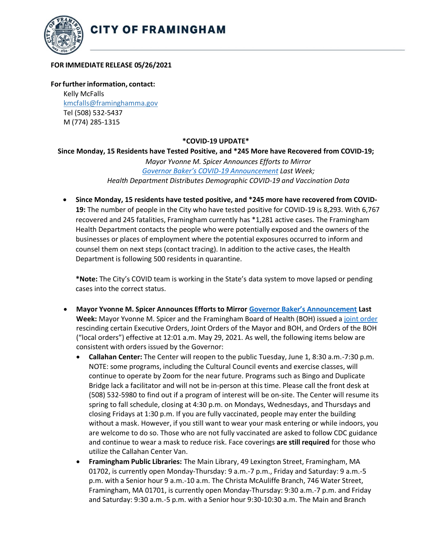

## **FOR IMMEDIATE RELEASE 05/26/2021**

**Forfurtherinformation, contact:** Kelly McFalls [kmcfalls@framinghamma.gov](mailto:kmcfalls@framinghamma.gov) Tel (508) 532-5437 M (774) 285-1315

## **\*COVID-19 UPDATE\***

## **Since Monday, 15 Residents have Tested Positive, and \*245 More have Recovered from COVID-19;**

*Mayor Yvonne M. Spicer Announces Efforts to Mirror [Governor Baker's COVID](https://www.mass.gov/news/baker-polito-administration-to-lift-covid-restrictions-may-29-state-to-meet-vaccination-goal-by-beginning-of-june)-19 Announcement Last Week; Health Department Distributes Demographic COVID-19 and Vaccination Data*

• **Since Monday, 15 residents have tested positive, and \*245 more have recovered from COVID-19:** The number of people in the City who have tested positive for COVID-19 is 8,293. With 6,767 recovered and 245 fatalities, Framingham currently has \*1,281 active cases. The Framingham Health Department contacts the people who were potentially exposed and the owners of the businesses or places of employment where the potential exposures occurred to inform and counsel them on next steps (contact tracing). In addition to the active cases, the Health Department is following 500 residents in quarantine.

**\*Note:** The City's COVID team is working in the State's data system to move lapsed or pending cases into the correct status.

- **Mayor Yvonne M. Spicer Announces Efforts to Mirror [Governor Baker's](https://www.mass.gov/news/baker-polito-administration-to-lift-covid-restrictions-may-29-state-to-meet-vaccination-goal-by-beginning-of-june) Announcement Last Week:** Mayor Yvonne M. Spicer and the Framingham Board of Health (BOH) issued a [joint order](https://www.framinghamma.gov/DocumentCenter/View/42193/Scan-052520212) rescinding certain Executive Orders, Joint Orders of the Mayor and BOH, and Orders of the BOH ("local orders") effective at 12:01 a.m. May 29, 2021. As well, the following items below are consistent with orders issued by the Governor:
	- **Callahan Center:** The Center will reopen to the public Tuesday, June 1, 8:30 a.m.-7:30 p.m. NOTE: some programs, including the Cultural Council events and exercise classes, will continue to operate by Zoom for the near future. Programs such as Bingo and Duplicate Bridge lack a facilitator and will not be in-person at this time. Please call the front desk at (508) 532-5980 to find out if a program of interest will be on-site. The Center will resume its spring to fall schedule, closing at 4:30 p.m. on Mondays, Wednesdays, and Thursdays and closing Fridays at 1:30 p.m. If you are fully vaccinated, people may enter the building without a mask. However, if you still want to wear your mask entering or while indoors, you are welcome to do so. Those who are not fully vaccinated are asked to follow CDC guidance and continue to wear a mask to reduce risk. Face coverings **are still required** for those who utilize the Callahan Center Van.
	- **Framingham Public Libraries:** The Main Library, 49 Lexington Street, Framingham, MA 01702, is currently open Monday-Thursday: 9 a.m.-7 p.m., Friday and Saturday: 9 a.m.-5 p.m. with a Senior hour 9 a.m.-10 a.m. The Christa McAuliffe Branch, 746 Water Street, Framingham, MA 01701, is currently open Monday-Thursday: 9:30 a.m.-7 p.m. and Friday and Saturday: 9:30 a.m.-5 p.m. with a Senior hour 9:30-10:30 a.m. The Main and Branch